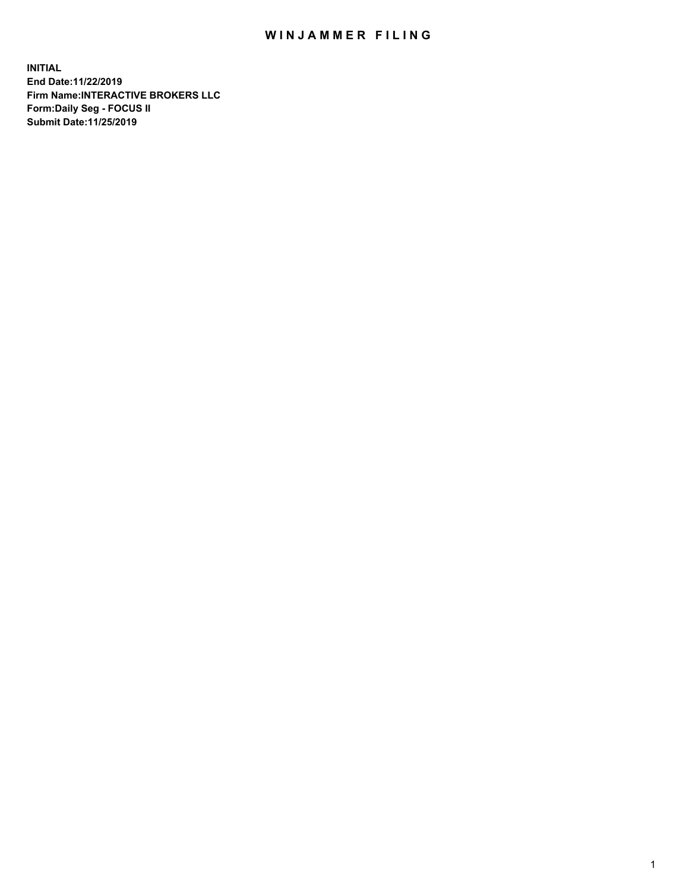## WIN JAMMER FILING

**INITIAL End Date:11/22/2019 Firm Name:INTERACTIVE BROKERS LLC Form:Daily Seg - FOCUS II Submit Date:11/25/2019**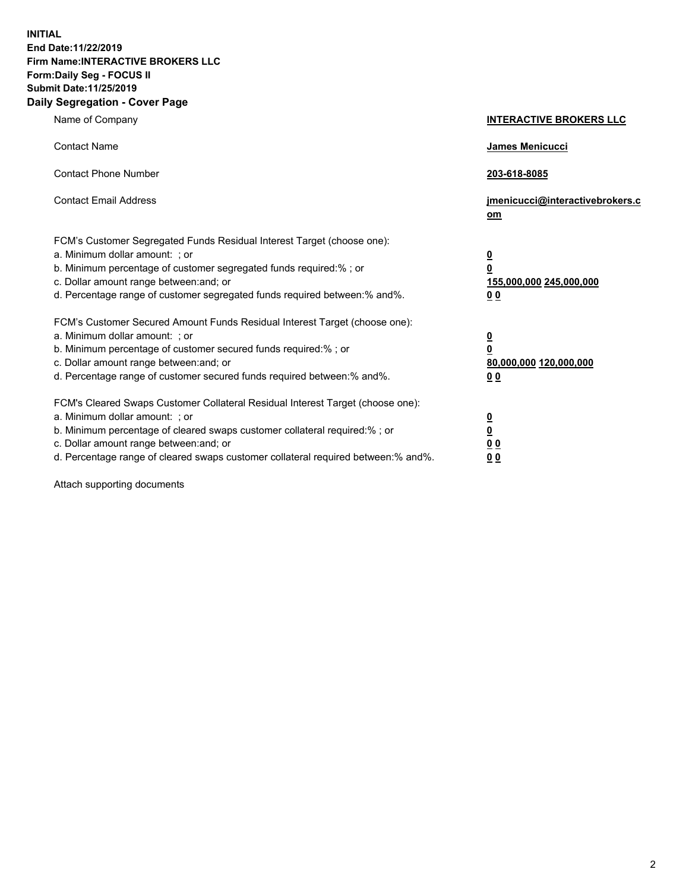**INITIAL End Date:11/22/2019 Firm Name:INTERACTIVE BROKERS LLC Form:Daily Seg - FOCUS II Submit Date:11/25/2019 Daily Segregation - Cover Page**

| Name of Company                                                                                                                                                                                                                                                                                                                | <b>INTERACTIVE BROKERS LLC</b>                                                                 |
|--------------------------------------------------------------------------------------------------------------------------------------------------------------------------------------------------------------------------------------------------------------------------------------------------------------------------------|------------------------------------------------------------------------------------------------|
| <b>Contact Name</b>                                                                                                                                                                                                                                                                                                            | James Menicucci                                                                                |
| <b>Contact Phone Number</b>                                                                                                                                                                                                                                                                                                    | 203-618-8085                                                                                   |
| <b>Contact Email Address</b>                                                                                                                                                                                                                                                                                                   | jmenicucci@interactivebrokers.c<br>om                                                          |
| FCM's Customer Segregated Funds Residual Interest Target (choose one):<br>a. Minimum dollar amount: : or<br>b. Minimum percentage of customer segregated funds required:% ; or<br>c. Dollar amount range between: and; or<br>d. Percentage range of customer segregated funds required between:% and%.                         | $\overline{\mathbf{0}}$<br>$\overline{\mathbf{0}}$<br>155,000,000 245,000,000<br>00            |
| FCM's Customer Secured Amount Funds Residual Interest Target (choose one):<br>a. Minimum dollar amount: ; or<br>b. Minimum percentage of customer secured funds required:%; or<br>c. Dollar amount range between: and; or<br>d. Percentage range of customer secured funds required between:% and%.                            | $\overline{\mathbf{0}}$<br>$\overline{\mathbf{0}}$<br>80,000,000 120,000,000<br>0 <sub>0</sub> |
| FCM's Cleared Swaps Customer Collateral Residual Interest Target (choose one):<br>a. Minimum dollar amount: ; or<br>b. Minimum percentage of cleared swaps customer collateral required:% ; or<br>c. Dollar amount range between: and; or<br>d. Percentage range of cleared swaps customer collateral required between:% and%. | $\frac{0}{0}$<br>0 <sub>0</sub><br>0 <sub>0</sub>                                              |

Attach supporting documents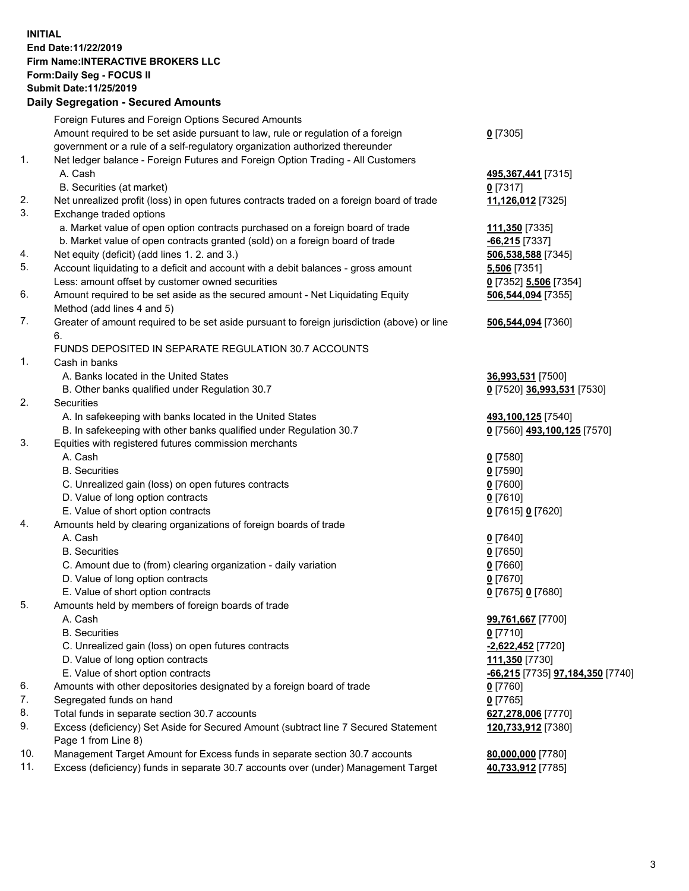## **INITIAL End Date:11/22/2019 Firm Name:INTERACTIVE BROKERS LLC Form:Daily Seg - FOCUS II Submit Date:11/25/2019 Daily Segregation - Secured Amounts**

|     | Dany Segregation - Secured Amounts                                                          |                                                              |
|-----|---------------------------------------------------------------------------------------------|--------------------------------------------------------------|
|     | Foreign Futures and Foreign Options Secured Amounts                                         |                                                              |
|     | Amount required to be set aside pursuant to law, rule or regulation of a foreign            | $0$ [7305]                                                   |
|     | government or a rule of a self-regulatory organization authorized thereunder                |                                                              |
| 1.  | Net ledger balance - Foreign Futures and Foreign Option Trading - All Customers             |                                                              |
|     | A. Cash                                                                                     | 495,367,441 [7315]                                           |
|     | B. Securities (at market)                                                                   | $0$ [7317]                                                   |
| 2.  | Net unrealized profit (loss) in open futures contracts traded on a foreign board of trade   | 11,126,012 [7325]                                            |
| 3.  | Exchange traded options                                                                     |                                                              |
|     | a. Market value of open option contracts purchased on a foreign board of trade              | 111,350 [7335]                                               |
|     | b. Market value of open contracts granted (sold) on a foreign board of trade                | $-66,215$ [7337]                                             |
| 4.  | Net equity (deficit) (add lines 1. 2. and 3.)                                               | 506,538,588 [7345]                                           |
| 5.  | Account liquidating to a deficit and account with a debit balances - gross amount           | 5,506 [7351]                                                 |
|     | Less: amount offset by customer owned securities                                            | 0 [7352] 5,506 [7354]                                        |
| 6.  | Amount required to be set aside as the secured amount - Net Liquidating Equity              | 506,544,094 [7355]                                           |
|     | Method (add lines 4 and 5)                                                                  |                                                              |
| 7.  | Greater of amount required to be set aside pursuant to foreign jurisdiction (above) or line | 506,544,094 [7360]                                           |
|     | 6.                                                                                          |                                                              |
|     | FUNDS DEPOSITED IN SEPARATE REGULATION 30.7 ACCOUNTS                                        |                                                              |
| 1.  | Cash in banks                                                                               |                                                              |
|     | A. Banks located in the United States                                                       | 36,993,531 [7500]                                            |
|     | B. Other banks qualified under Regulation 30.7                                              | 0 [7520] 36,993,531 [7530]                                   |
| 2.  | <b>Securities</b>                                                                           |                                                              |
|     | A. In safekeeping with banks located in the United States                                   | 493,100,125 [7540]                                           |
|     | B. In safekeeping with other banks qualified under Regulation 30.7                          | 0 [7560] 493,100,125 [7570]                                  |
| 3.  | Equities with registered futures commission merchants                                       |                                                              |
|     | A. Cash                                                                                     | $0$ [7580]                                                   |
|     | <b>B.</b> Securities                                                                        | $0$ [7590]                                                   |
|     | C. Unrealized gain (loss) on open futures contracts                                         | $0$ [7600]                                                   |
|     | D. Value of long option contracts                                                           | $0$ [7610]                                                   |
|     | E. Value of short option contracts                                                          | 0 [7615] 0 [7620]                                            |
| 4.  | Amounts held by clearing organizations of foreign boards of trade                           |                                                              |
|     | A. Cash                                                                                     | $0$ [7640]                                                   |
|     | <b>B.</b> Securities                                                                        | $0$ [7650]                                                   |
|     | C. Amount due to (from) clearing organization - daily variation                             | $0$ [7660]                                                   |
|     | D. Value of long option contracts                                                           | $0$ [7670]                                                   |
|     | E. Value of short option contracts                                                          | 0 [7675] 0 [7680]                                            |
| 5.  | Amounts held by members of foreign boards of trade                                          |                                                              |
|     | A. Cash<br><b>B.</b> Securities                                                             | 99,761,667 [7700]<br>$0$ [7710]                              |
|     | C. Unrealized gain (loss) on open futures contracts                                         |                                                              |
|     | D. Value of long option contracts                                                           | -2,622,452 <sup>[7720]</sup>                                 |
|     | E. Value of short option contracts                                                          | 111,350 [7730]                                               |
| 6.  | Amounts with other depositories designated by a foreign board of trade                      | <u>-66,215</u> [7735] <u>97,184,350</u> [7740]<br>$0$ [7760] |
| 7.  | Segregated funds on hand                                                                    | $0$ [7765]                                                   |
| 8.  | Total funds in separate section 30.7 accounts                                               | 627,278,006 [7770]                                           |
| 9.  | Excess (deficiency) Set Aside for Secured Amount (subtract line 7 Secured Statement         | 120,733,912 [7380]                                           |
|     | Page 1 from Line 8)                                                                         |                                                              |
| 10. | Management Target Amount for Excess funds in separate section 30.7 accounts                 | 80,000,000 [7780]                                            |
| 11. | Excess (deficiency) funds in separate 30.7 accounts over (under) Management Target          | 40,733,912 [7785]                                            |
|     |                                                                                             |                                                              |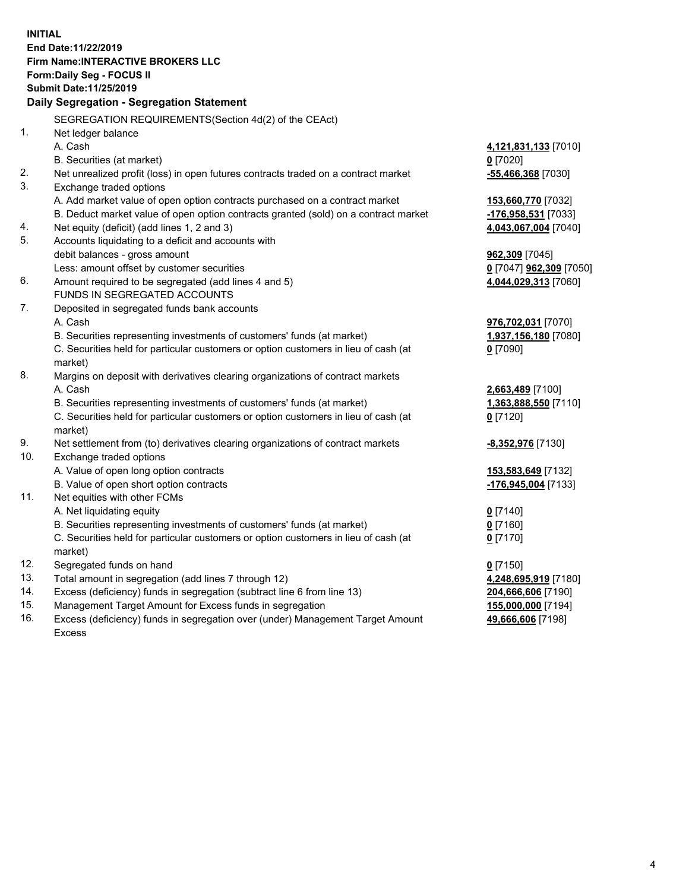**INITIAL End Date:11/22/2019 Firm Name:INTERACTIVE BROKERS LLC Form:Daily Seg - FOCUS II Submit Date:11/25/2019 Daily Segregation - Segregation Statement** SEGREGATION REQUIREMENTS(Section 4d(2) of the CEAct) 1. Net ledger balance A. Cash **4,121,831,133** [7010] B. Securities (at market) **0** [7020] 2. Net unrealized profit (loss) in open futures contracts traded on a contract market **-55,466,368** [7030] 3. Exchange traded options A. Add market value of open option contracts purchased on a contract market **153,660,770** [7032] B. Deduct market value of open option contracts granted (sold) on a contract market **-176,958,531** [7033] 4. Net equity (deficit) (add lines 1, 2 and 3) **4,043,067,004** [7040] 5. Accounts liquidating to a deficit and accounts with debit balances - gross amount **962,309** [7045] Less: amount offset by customer securities **0** [7047] **962,309** [7050] 6. Amount required to be segregated (add lines 4 and 5) **4,044,029,313** [7060] FUNDS IN SEGREGATED ACCOUNTS 7. Deposited in segregated funds bank accounts A. Cash **976,702,031** [7070] B. Securities representing investments of customers' funds (at market) **1,937,156,180** [7080] C. Securities held for particular customers or option customers in lieu of cash (at market) **0** [7090] 8. Margins on deposit with derivatives clearing organizations of contract markets A. Cash **2,663,489** [7100] B. Securities representing investments of customers' funds (at market) **1,363,888,550** [7110] C. Securities held for particular customers or option customers in lieu of cash (at market) **0** [7120] 9. Net settlement from (to) derivatives clearing organizations of contract markets **-8,352,976** [7130] 10. Exchange traded options A. Value of open long option contracts **153,583,649** [7132] B. Value of open short option contracts **-176,945,004** [7133] 11. Net equities with other FCMs A. Net liquidating equity **0** [7140] B. Securities representing investments of customers' funds (at market) **0** [7160] C. Securities held for particular customers or option customers in lieu of cash (at market) **0** [7170] 12. Segregated funds on hand **0** [7150] 13. Total amount in segregation (add lines 7 through 12) **4,248,695,919** [7180] 14. Excess (deficiency) funds in segregation (subtract line 6 from line 13) **204,666,606** [7190] 15. Management Target Amount for Excess funds in segregation **155,000,000** [7194] **49,666,606** [7198]

16. Excess (deficiency) funds in segregation over (under) Management Target Amount Excess